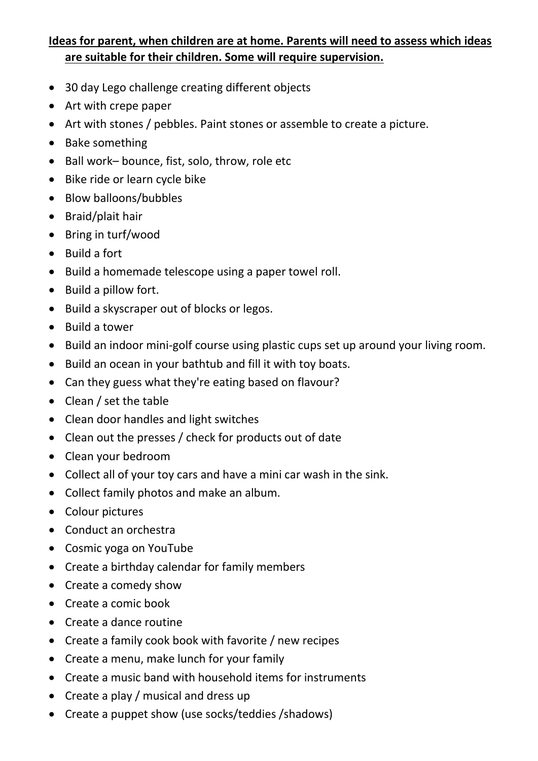## **Ideas for parent, when children are at home. Parents will need to assess which ideas are suitable for their children. Some will require supervision.**

- 30 day Lego challenge creating different objects
- Art with crepe paper
- Art with stones / pebbles. Paint stones or assemble to create a picture.
- Bake something
- Ball work– bounce, fist, solo, throw, role etc
- Bike ride or learn cycle bike
- Blow balloons/bubbles
- Braid/plait hair
- Bring in turf/wood
- Build a fort
- Build a homemade telescope using a paper towel roll.
- Build a pillow fort.
- Build a skyscraper out of blocks or legos.
- Build a tower
- Build an indoor mini-golf course using plastic cups set up around your living room.
- Build an ocean in your bathtub and fill it with toy boats.
- Can they guess what they're eating based on flavour?
- Clean / set the table
- Clean door handles and light switches
- Clean out the presses / check for products out of date
- Clean your bedroom
- Collect all of your toy cars and have a mini car wash in the sink.
- Collect family photos and make an album.
- Colour pictures
- Conduct an orchestra
- Cosmic yoga on YouTube
- Create a birthday calendar for family members
- Create a comedy show
- Create a comic book
- Create a dance routine
- Create a family cook book with favorite / new recipes
- Create a menu, make lunch for your family
- Create a music band with household items for instruments
- Create a play / musical and dress up
- Create a puppet show (use socks/teddies /shadows)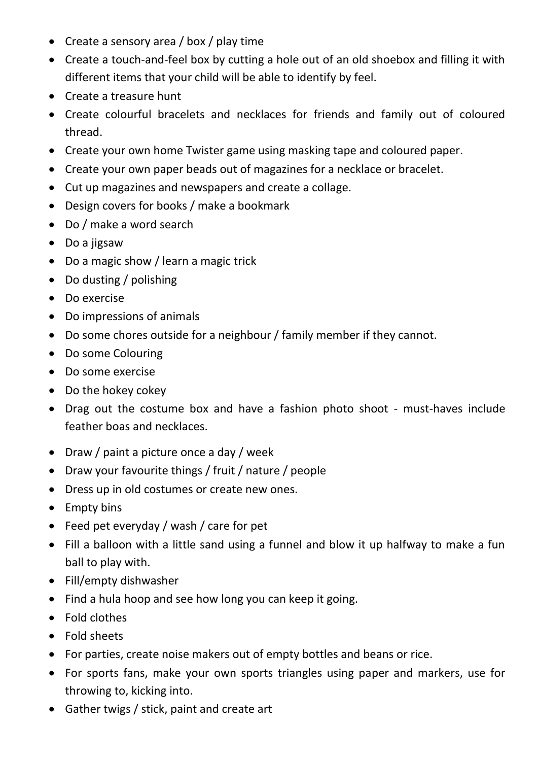- Create a sensory area / box / play time
- Create a touch-and-feel box by cutting a hole out of an old shoebox and filling it with different items that your child will be able to identify by feel.
- Create a treasure hunt
- Create colourful bracelets and necklaces for friends and family out of coloured thread.
- Create your own home Twister game using masking tape and coloured paper.
- Create your own paper beads out of magazines for a necklace or bracelet.
- Cut up magazines and newspapers and create a collage.
- Design covers for books / make a bookmark
- Do / make a word search
- Do a jigsaw
- Do a magic show / learn a magic trick
- Do dusting / polishing
- Do exercise
- Do impressions of animals
- Do some chores outside for a neighbour / family member if they cannot.
- Do some Colouring
- Do some exercise
- Do the hokey cokey
- Drag out the costume box and have a fashion photo shoot must-haves include feather boas and necklaces.
- Draw / paint a picture once a day / week
- Draw your favourite things / fruit / nature / people
- Dress up in old costumes or create new ones.
- Empty bins
- Feed pet everyday / wash / care for pet
- Fill a balloon with a little sand using a funnel and blow it up halfway to make a fun ball to play with.
- Fill/empty dishwasher
- Find a hula hoop and see how long you can keep it going.
- Fold clothes
- Fold sheets
- For parties, create noise makers out of empty bottles and beans or rice.
- For sports fans, make your own sports triangles using paper and markers, use for throwing to, kicking into.
- Gather twigs / stick, paint and create art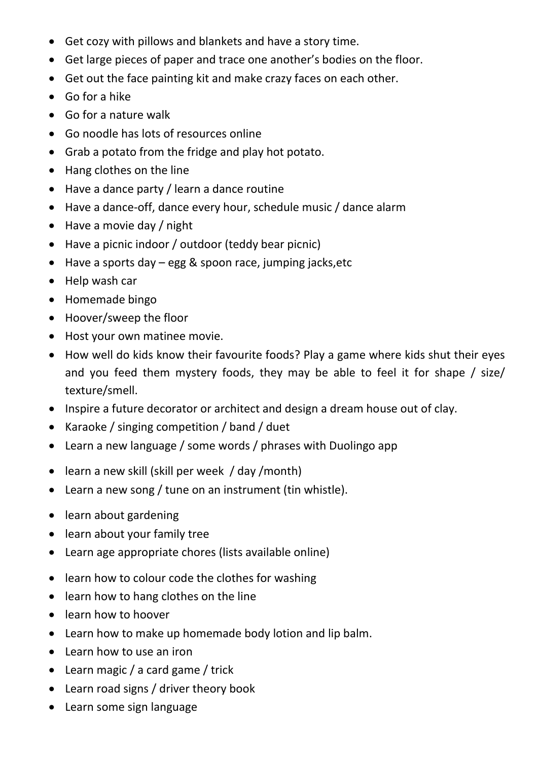- Get cozy with pillows and blankets and have a story time.
- Get large pieces of paper and trace one another's bodies on the floor.
- Get out the face painting kit and make crazy faces on each other.
- Go for a hike
- Go for a nature walk
- Go noodle has lots of resources online
- Grab a potato from the fridge and play hot potato.
- Hang clothes on the line
- Have a dance party / learn a dance routine
- Have a dance-off, dance every hour, schedule music / dance alarm
- Have a movie day / night
- Have a picnic indoor / outdoor (teddy bear picnic)
- Have a sports day egg & spoon race, jumping jacks,etc
- Help wash car
- Homemade bingo
- Hoover/sweep the floor
- Host your own matinee movie.
- How well do kids know their favourite foods? Play a game where kids shut their eyes and you feed them mystery foods, they may be able to feel it for shape / size/ texture/smell.
- Inspire a future decorator or architect and design a dream house out of clay.
- Karaoke / singing competition / band / duet
- Learn a new language / some words / phrases with Duolingo app
- learn a new skill (skill per week / day / month)
- Learn a new song / tune on an instrument (tin whistle).
- learn about gardening
- learn about your family tree
- Learn age appropriate chores (lists available online)
- learn how to colour code the clothes for washing
- learn how to hang clothes on the line
- learn how to hoover
- Learn how to make up homemade body lotion and lip balm.
- Learn how to use an iron
- Learn magic / a card game / trick
- Learn road signs / driver theory book
- Learn some sign language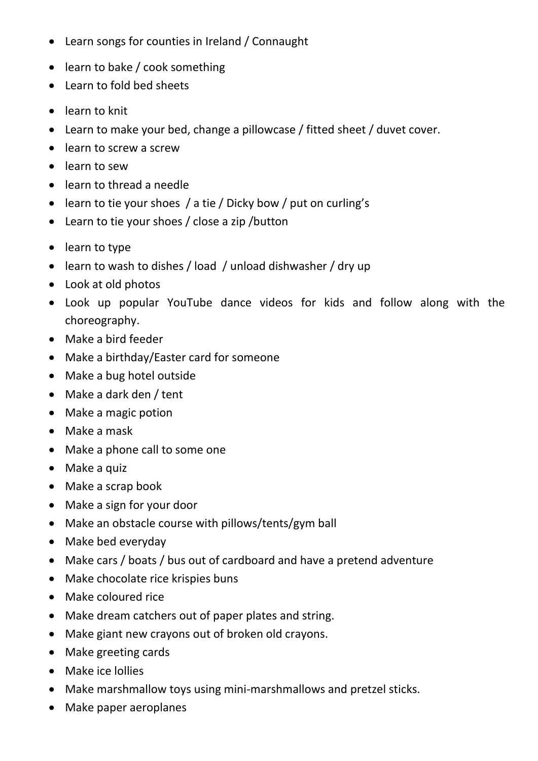- Learn songs for counties in Ireland / Connaught
- learn to bake / cook something
- Learn to fold bed sheets
- learn to knit
- Learn to make your bed, change a pillowcase / fitted sheet / duvet cover.
- learn to screw a screw
- learn to sew
- learn to thread a needle
- learn to tie your shoes / a tie / Dicky bow / put on curling's
- Learn to tie your shoes / close a zip /button
- learn to type
- learn to wash to dishes / load / unload dishwasher / dry up
- Look at old photos
- Look up popular YouTube dance videos for kids and follow along with the choreography.
- Make a bird feeder
- Make a birthday/Easter card for someone
- Make a bug hotel outside
- Make a dark den / tent
- Make a magic potion
- Make a mask
- Make a phone call to some one
- Make a quiz
- Make a scrap book
- Make a sign for your door
- Make an obstacle course with pillows/tents/gym ball
- Make bed everyday
- Make cars / boats / bus out of cardboard and have a pretend adventure
- Make chocolate rice krispies buns
- Make coloured rice
- Make dream catchers out of paper plates and string.
- Make giant new crayons out of broken old crayons.
- Make greeting cards
- Make ice lollies
- Make marshmallow toys using mini-marshmallows and pretzel sticks.
- Make paper aeroplanes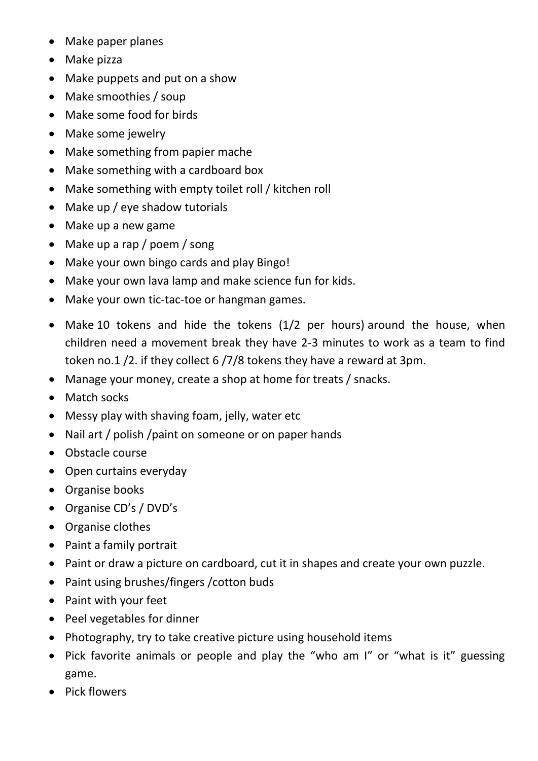- Make paper planes
- Make pizza
- Make puppets and put on a show
- Make smoothies / soup
- Make some food for birds
- Make some jewelry
- Make something from papier mache
- Make something with a cardboard box
- Make something with empty toilet roll / kitchen roll
- Make up / eye shadow tutorials
- Make up a new game
- Make up a rap / poem / song
- Make your own bingo cards and play Bingo!
- Make your own lava lamp and make science fun for kids.
- Make your own tic-tac-toe or hangman games.
- Make 10 tokens and hide the tokens (1/2 per hours) around the house, when children need a movement break they have 2-3 minutes to work as a team to find token no.1 /2. if they collect 6 /7/8 tokens they have a reward at 3pm.
- Manage your money, create a shop at home for treats / snacks.
- Match socks
- Messy play with shaving foam, jelly, water etc
- Nail art / polish /paint on someone or on paper hands
- Obstacle course
- Open curtains everyday
- Organise books
- Organise CD's / DVD's
- Organise clothes
- Paint a family portrait
- Paint or draw a picture on cardboard, cut it in shapes and create your own puzzle.
- Paint using brushes/fingers /cotton buds
- Paint with your feet
- Peel vegetables for dinner
- Photography, try to take creative picture using household items
- Pick favorite animals or people and play the "who am I" or "what is it" guessing game.
- Pick flowers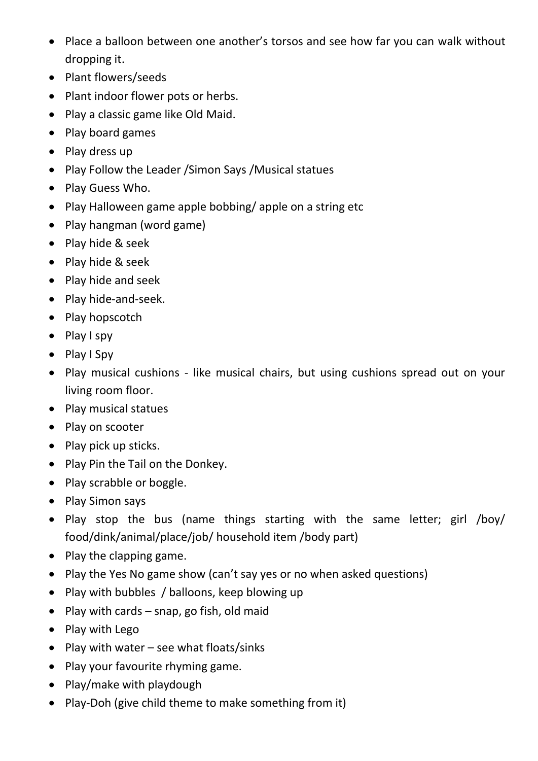- Place a balloon between one another's torsos and see how far you can walk without dropping it.
- Plant flowers/seeds
- Plant indoor flower pots or herbs.
- Play a classic game like Old Maid.
- Play board games
- Play dress up
- Play Follow the Leader /Simon Says /Musical statues
- Play Guess Who.
- Play Halloween game apple bobbing/ apple on a string etc
- Play hangman (word game)
- Play hide & seek
- Play hide & seek
- Play hide and seek
- Play hide-and-seek.
- Play hopscotch
- Play I spy
- Play I Spy
- Play musical cushions like musical chairs, but using cushions spread out on your living room floor.
- Play musical statues
- Play on scooter
- Play pick up sticks.
- Play Pin the Tail on the Donkey.
- Play scrabble or boggle.
- Play Simon says
- Play stop the bus (name things starting with the same letter; girl /boy/ food/dink/animal/place/job/ household item /body part)
- Play the clapping game.
- Play the Yes No game show (can't say yes or no when asked questions)
- Play with bubbles / balloons, keep blowing up
- Play with cards snap, go fish, old maid
- Play with Lego
- Play with water see what floats/sinks
- Play your favourite rhyming game.
- Play/make with playdough
- Play-Doh (give child theme to make something from it)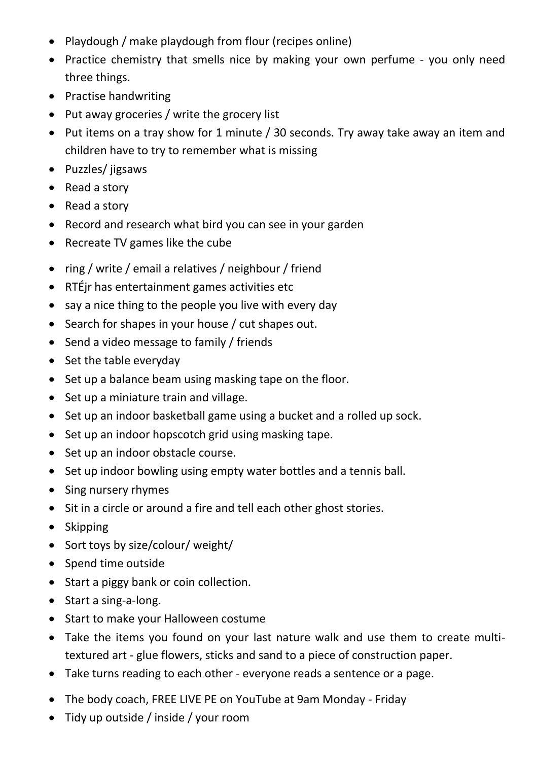- Playdough / make playdough from flour (recipes online)
- Practice chemistry that smells nice by making your own perfume you only need three things.
- Practise handwriting
- Put away groceries / write the grocery list
- Put items on a tray show for 1 minute / 30 seconds. Try away take away an item and children have to try to remember what is missing
- Puzzles/ jigsaws
- Read a story
- Read a story
- Record and research what bird you can see in your garden
- Recreate TV games like the cube
- ring / write / email a relatives / neighbour / friend
- RTÉjr has entertainment games activities etc
- say a nice thing to the people you live with every day
- Search for shapes in your house / cut shapes out.
- Send a video message to family / friends
- Set the table everyday
- Set up a balance beam using masking tape on the floor.
- Set up a miniature train and village.
- Set up an indoor basketball game using a bucket and a rolled up sock.
- Set up an indoor hopscotch grid using masking tape.
- Set up an indoor obstacle course.
- Set up indoor bowling using empty water bottles and a tennis ball.
- Sing nursery rhymes
- Sit in a circle or around a fire and tell each other ghost stories.
- Skipping
- Sort toys by size/colour/ weight/
- Spend time outside
- Start a piggy bank or coin collection.
- Start a sing-a-long.
- Start to make your Halloween costume
- Take the items you found on your last nature walk and use them to create multitextured art - glue flowers, sticks and sand to a piece of construction paper.
- Take turns reading to each other everyone reads a sentence or a page.
- The body coach, FREE LIVE PE on YouTube at 9am Monday Friday
- Tidy up outside / inside / your room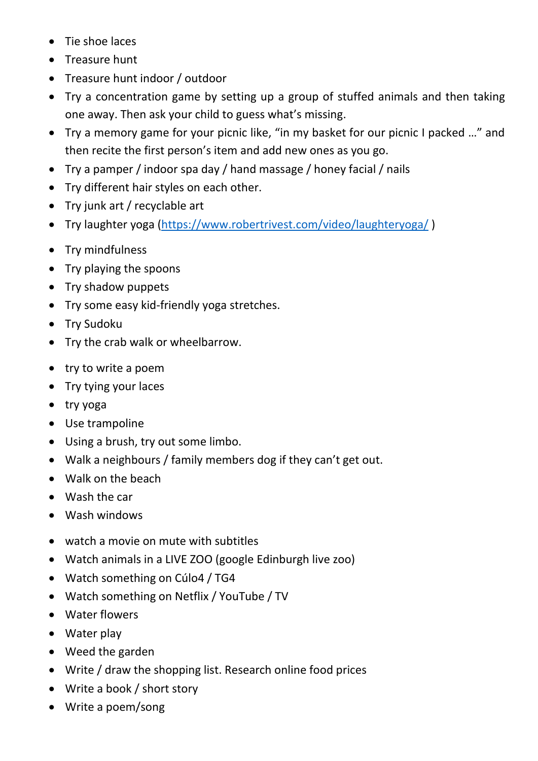- Tie shoe laces
- Treasure hunt
- Treasure hunt indoor / outdoor
- Try a concentration game by setting up a group of stuffed animals and then taking one away. Then ask your child to guess what's missing.
- Try a memory game for your picnic like, "in my basket for our picnic I packed …" and then recite the first person's item and add new ones as you go.
- Try a pamper / indoor spa day / hand massage / honey facial / nails
- Try different hair styles on each other.
- Try junk art / recyclable art
- Try laughter yoga [\(https://www.robertrivest.com/video/laughteryoga/](https://www.robertrivest.com/video/laughteryoga/) )
- Try mindfulness
- Try playing the spoons
- Try shadow puppets
- Try some easy kid-friendly yoga stretches.
- Try Sudoku
- Try the crab walk or wheelbarrow.
- try to write a poem
- Try tying your laces
- try yoga
- Use trampoline
- Using a brush, try out some limbo.
- Walk a neighbours / family members dog if they can't get out.
- Walk on the beach
- Wash the car
- Wash windows
- watch a movie on mute with subtitles
- Watch animals in a LIVE ZOO (google Edinburgh live zoo)
- Watch something on Cúlo4 / TG4
- Watch something on Netflix / YouTube / TV
- Water flowers
- Water play
- Weed the garden
- Write / draw the shopping list. Research online food prices
- Write a book / short story
- Write a poem/song